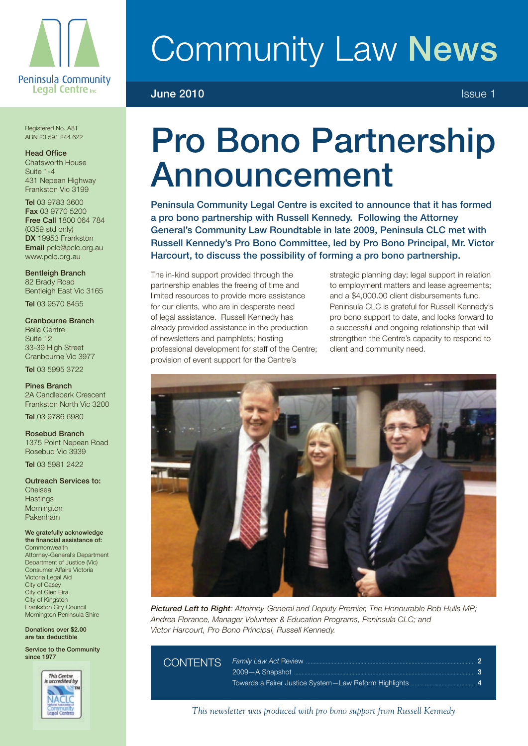

# Community Law News

### **June 2010 ISSUE 1 ISSUE 1**

Registered No. A8T ABN 23 591 244 622

#### Head Office

Chatsworth House Suite 1-4 431 Nepean Highway Frankston Vic 3199

Tel 03 9783 3600 Fax 03 9770 5200 Free Call 1800 064 784 (0359 std only) DX 19953 Frankston Email pclc@pclc.org.au www.pclc.org.au

Bentleigh Branch 82 Brady Road Bentleigh East Vic 3165

Tel 03 9570 8455

Cranbourne Branch Bella Centre Suite 12 33-39 High Street Cranbourne Vic 3977 Tel 03 5995 3722

Pines Branch 2A Candlebark Crescent Frankston North Vic 3200 Tel 03 9786 6980

Rosebud Branch 1375 Point Nepean Road Rosebud Vic 3939

Tel 03 5981 2422

Outreach Services to: Chelsea **Hastings Mornington** Pakenham

We gratefully acknowledge the financial assistance of: **Commonwealth** Attorney-General's Department Department of Justice (Vic) Consumer Affairs Victoria Victoria Legal Aid City of Casey City of Glen Eira City of Kingston Frankston City Council Mornington Peninsula Shire

Donations over \$2.00 are tax deductible

Service to the Community since 1977



### Pro Bono Partnership Announcement

Peninsula Community Legal Centre is excited to announce that it has formed a pro bono partnership with Russell Kennedy. Following the Attorney General's Community Law Roundtable in late 2009, Peninsula CLC met with Russell Kennedy's Pro Bono Committee, led by Pro Bono Principal, Mr. Victor Harcourt, to discuss the possibility of forming a pro bono partnership.

The in-kind support provided through the partnership enables the freeing of time and limited resources to provide more assistance for our clients, who are in desperate need of legal assistance. Russell Kennedy has already provided assistance in the production of newsletters and pamphlets; hosting professional development for staff of the Centre; provision of event support for the Centre's

strategic planning day; legal support in relation to employment matters and lease agreements; and a \$4,000.00 client disbursements fund. Peninsula CLC is grateful for Russell Kennedy's pro bono support to date, and looks forward to a successful and ongoing relationship that will strengthen the Centre's capacity to respond to client and community need.



*Pictured Left to Right: Attorney-General and Deputy Premier, The Honourable Rob Hulls MP; Andrea Florance, Manager Volunteer & Education Programs, Peninsula CLC; and Victor Harcourt, Pro Bono Principal, Russell Kennedy.*

Contents *Family Law Act* Review ................................................................................................................ <sup>2</sup>  $2009 - A$  Snapshot ... Towards a Fairer Justice System—Law Reform Highlights .......................................... 4

*This newsletter was produced with pro bono support from Russell Kennedy*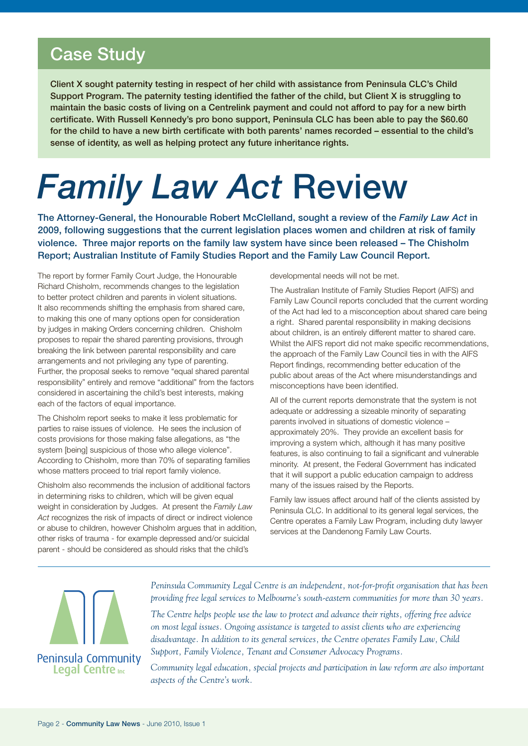### Case Study

Client X sought paternity testing in respect of her child with assistance from Peninsula CLC's Child Support Program. The paternity testing identified the father of the child, but Client X is struggling to maintain the basic costs of living on a Centrelink payment and could not afford to pay for a new birth certificate. With Russell Kennedy's pro bono support, Peninsula CLC has been able to pay the \$60.60 for the child to have a new birth certificate with both parents' names recorded – essential to the child's sense of identity, as well as helping protect any future inheritance rights.

## *Family Law Act* Review

The Attorney-General, the Honourable Robert McClelland, sought a review of the *Family Law Act* in 2009, following suggestions that the current legislation places women and children at risk of family violence. Three major reports on the family law system have since been released – The Chisholm Report; Australian Institute of Family Studies Report and the Family Law Council Report.

The report by former Family Court Judge, the Honourable Richard Chisholm, recommends changes to the legislation to better protect children and parents in violent situations. It also recommends shifting the emphasis from shared care, to making this one of many options open for consideration by judges in making Orders concerning children. Chisholm proposes to repair the shared parenting provisions, through breaking the link between parental responsibility and care arrangements and not privileging any type of parenting. Further, the proposal seeks to remove "equal shared parental responsibility" entirely and remove "additional" from the factors considered in ascertaining the child's best interests, making each of the factors of equal importance.

The Chisholm report seeks to make it less problematic for parties to raise issues of violence. He sees the inclusion of costs provisions for those making false allegations, as "the system [being] suspicious of those who allege violence". According to Chisholm, more than 70% of separating families whose matters proceed to trial report family violence.

Chisholm also recommends the inclusion of additional factors in determining risks to children, which will be given equal weight in consideration by Judges. At present the *Family Law Act* recognizes the risk of impacts of direct or indirect violence or abuse to children, however Chisholm argues that in addition, other risks of trauma - for example depressed and/or suicidal parent - should be considered as should risks that the child's

developmental needs will not be met.

The Australian Institute of Family Studies Report (AIFS) and Family Law Council reports concluded that the current wording of the Act had led to a misconception about shared care being a right. Shared parental responsibility in making decisions about children, is an entirely different matter to shared care. Whilst the AIFS report did not make specific recommendations, the approach of the Family Law Council ties in with the AIFS Report findings, recommending better education of the public about areas of the Act where misunderstandings and misconceptions have been identified.

All of the current reports demonstrate that the system is not adequate or addressing a sizeable minority of separating parents involved in situations of domestic violence – approximately 20%. They provide an excellent basis for improving a system which, although it has many positive features, is also continuing to fail a significant and vulnerable minority. At present, the Federal Government has indicated that it will support a public education campaign to address many of the issues raised by the Reports.

Family law issues affect around half of the clients assisted by Peninsula CLC. In additional to its general legal services, the Centre operates a Family Law Program, including duty lawyer services at the Dandenong Family Law Courts.



*Peninsula Community Legal Centre is an independent, not-for-profit organisation that has been providing free legal services to Melbourne's south-eastern communities for more than 30 years.*

*The Centre helps people use the law to protect and advance their rights, offering free advice on most legal issues. Ongoing assistance is targeted to assist clients who are experiencing disadvantage. In addition to its general services, the Centre operates Family Law, Child Support, Family Violence, Tenant and Consumer Advocacy Programs.*

*Community legal education, special projects and participation in law reform are also important aspects of the Centre's work.*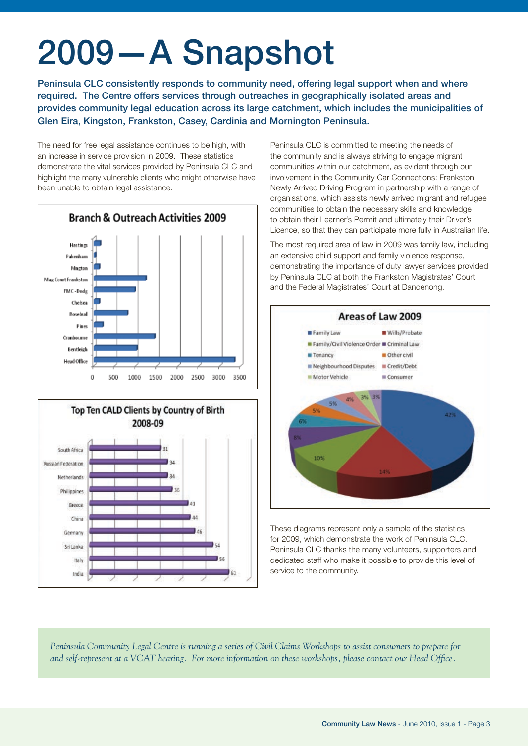## 2009—A Snapshot

Peninsula CLC consistently responds to community need, offering legal support when and where required. The Centre offers services through outreaches in geographically isolated areas and provides community legal education across its large catchment, which includes the municipalities of Glen Eira, Kingston, Frankston, Casey, Cardinia and Mornington Peninsula.

The need for free legal assistance continues to be high, with an increase in service provision in 2009. These statistics demonstrate the vital services provided by Peninsula CLC and highlight the many vulnerable clients who might otherwise have been unable to obtain legal assistance.





Peninsula CLC is committed to meeting the needs of the community and is always striving to engage migrant communities within our catchment, as evident through our involvement in the Community Car Connections: Frankston Newly Arrived Driving Program in partnership with a range of organisations, which assists newly arrived migrant and refugee communities to obtain the necessary skills and knowledge to obtain their Learner's Permit and ultimately their Driver's Licence, so that they can participate more fully in Australian life.

The most required area of law in 2009 was family law, including an extensive child support and family violence response, demonstrating the importance of duty lawyer services provided by Peninsula CLC at both the Frankston Magistrates' Court and the Federal Magistrates' Court at Dandenong.



These diagrams represent only a sample of the statistics for 2009, which demonstrate the work of Peninsula CLC. Peninsula CLC thanks the many volunteers, supporters and dedicated staff who make it possible to provide this level of service to the community.

*Peninsula Community Legal Centre is running a series of Civil Claims Workshops to assist consumers to prepare for and self-represent at a VCAT hearing. For more information on these workshops, please contact our Head Office.*